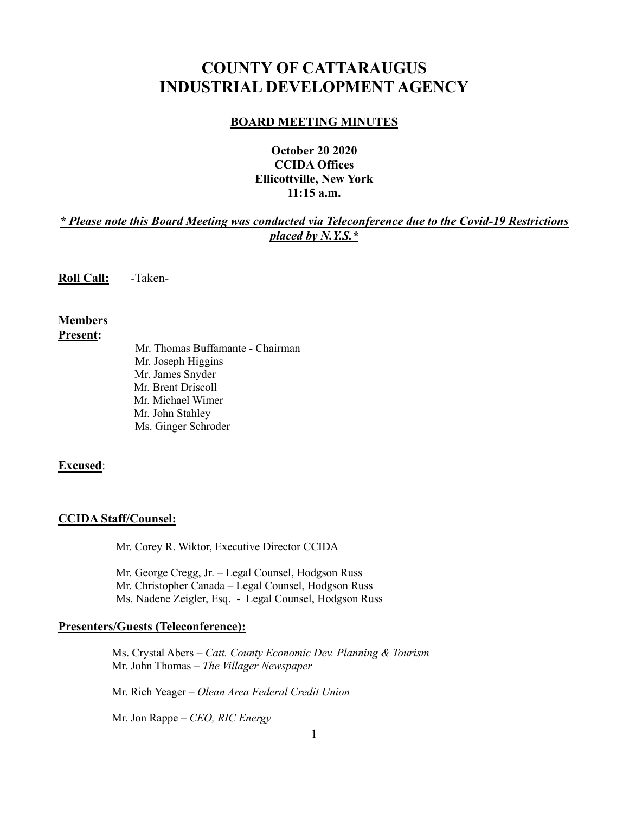# **COUNTY OF CATTARAUGUS INDUSTRIAL DEVELOPMENT AGENCY**

#### **BOARD MEETING MINUTES**

## **October 20 2020 CCIDA Offices Ellicottville, New York 11:15 a.m.**

## *\* Please note this Board Meeting was conducted via Teleconference due to the Covid-19 Restrictions placed by N.Y.S.\**

**Roll Call:** -Taken-

#### **Members Present:**

Mr. Thomas Buffamante - Chairman Mr. Joseph Higgins Mr. James Snyder Mr. Brent Driscoll Mr. Michael Wimer Mr. John Stahley Ms. Ginger Schroder

#### **Excused**:

#### **CCIDA Staff/Counsel:**

Mr. Corey R. Wiktor, Executive Director CCIDA

Mr. George Cregg, Jr. – Legal Counsel, Hodgson Russ Mr. Christopher Canada – Legal Counsel, Hodgson Russ Ms. Nadene Zeigler, Esq. - Legal Counsel, Hodgson Russ

## **Presenters/Guests (Teleconference):**

 Ms. Crystal Abers – *Catt. County Economic Dev. Planning & Tourism* Mr. John Thomas – *The Villager Newspaper*

Mr. Rich Yeager – *Olean Area Federal Credit Union*

Mr. Jon Rappe – *CEO, RIC Energy*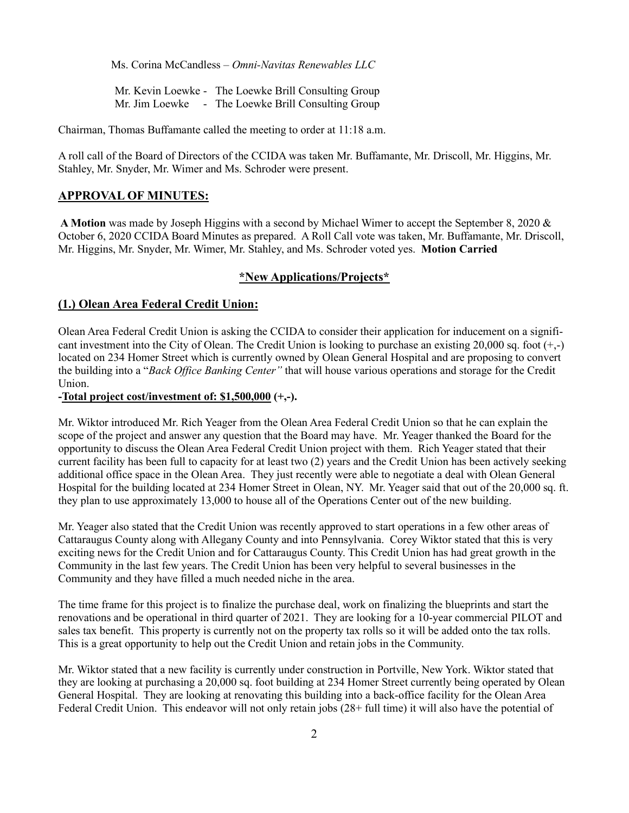Ms. Corina McCandless – *Omni-Navitas Renewables LLC*

 Mr. Kevin Loewke - The Loewke Brill Consulting Group Mr. Jim Loewke - The Loewke Brill Consulting Group

Chairman, Thomas Buffamante called the meeting to order at 11:18 a.m.

A roll call of the Board of Directors of the CCIDA was taken Mr. Buffamante, Mr. Driscoll, Mr. Higgins, Mr. Stahley, Mr. Snyder, Mr. Wimer and Ms. Schroder were present.

#### **APPROVAL OF MINUTES:**

**A Motion** was made by Joseph Higgins with a second by Michael Wimer to accept the September 8, 2020 & October 6, 2020 CCIDA Board Minutes as prepared. A Roll Call vote was taken, Mr. Buffamante, Mr. Driscoll, Mr. Higgins, Mr. Snyder, Mr. Wimer, Mr. Stahley, and Ms. Schroder voted yes. **Motion Carried**

#### **\*New Applications/Projects\***

#### **(1.) Olean Area Federal Credit Union:**

Olean Area Federal Credit Union is asking the CCIDA to consider their application for inducement on a significant investment into the City of Olean. The Credit Union is looking to purchase an existing 20,000 sq. foot  $(+,-)$ located on 234 Homer Street which is currently owned by Olean General Hospital and are proposing to convert the building into a "*Back Office Banking Center"* that will house various operations and storage for the Credit Union.

**-Total project cost/investment of: \$1,500,000 (+,-).** 

Mr. Wiktor introduced Mr. Rich Yeager from the Olean Area Federal Credit Union so that he can explain the scope of the project and answer any question that the Board may have. Mr. Yeager thanked the Board for the opportunity to discuss the Olean Area Federal Credit Union project with them. Rich Yeager stated that their current facility has been full to capacity for at least two (2) years and the Credit Union has been actively seeking additional office space in the Olean Area. They just recently were able to negotiate a deal with Olean General Hospital for the building located at 234 Homer Street in Olean, NY. Mr. Yeager said that out of the 20,000 sq. ft. they plan to use approximately 13,000 to house all of the Operations Center out of the new building.

Mr. Yeager also stated that the Credit Union was recently approved to start operations in a few other areas of Cattaraugus County along with Allegany County and into Pennsylvania. Corey Wiktor stated that this is very exciting news for the Credit Union and for Cattaraugus County. This Credit Union has had great growth in the Community in the last few years. The Credit Union has been very helpful to several businesses in the Community and they have filled a much needed niche in the area.

The time frame for this project is to finalize the purchase deal, work on finalizing the blueprints and start the renovations and be operational in third quarter of 2021. They are looking for a 10-year commercial PILOT and sales tax benefit. This property is currently not on the property tax rolls so it will be added onto the tax rolls. This is a great opportunity to help out the Credit Union and retain jobs in the Community.

Mr. Wiktor stated that a new facility is currently under construction in Portville, New York. Wiktor stated that they are looking at purchasing a 20,000 sq. foot building at 234 Homer Street currently being operated by Olean General Hospital. They are looking at renovating this building into a back-office facility for the Olean Area Federal Credit Union. This endeavor will not only retain jobs (28+ full time) it will also have the potential of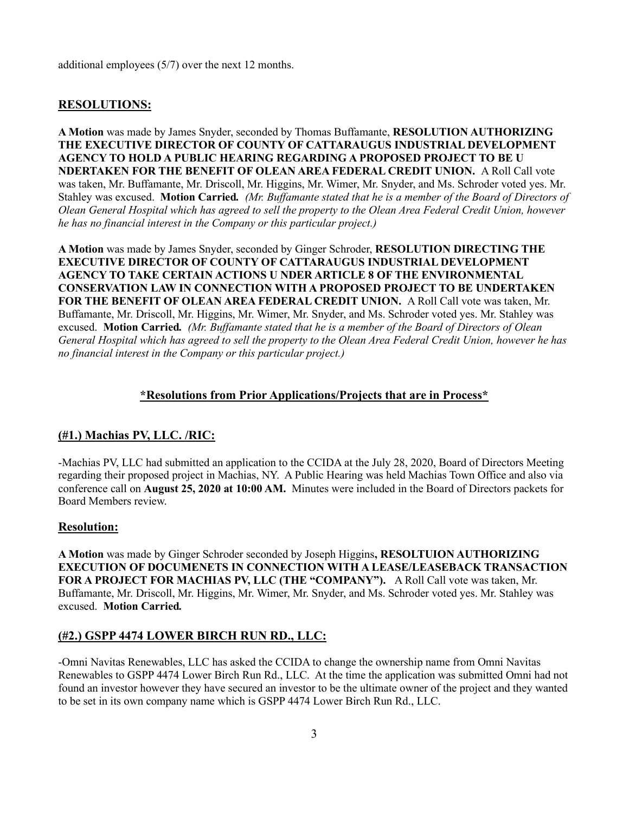additional employees (5/7) over the next 12 months.

## **RESOLUTIONS:**

**A Motion** was made by James Snyder, seconded by Thomas Buffamante, **RESOLUTION AUTHORIZING THE EXECUTIVE DIRECTOR OF COUNTY OF CATTARAUGUS INDUSTRIAL DEVELOPMENT AGENCY TO HOLD A PUBLIC HEARING REGARDING A PROPOSED PROJECT TO BE U NDERTAKEN FOR THE BENEFIT OF OLEAN AREA FEDERAL CREDIT UNION.** A Roll Call vote was taken, Mr. Buffamante, Mr. Driscoll, Mr. Higgins, Mr. Wimer, Mr. Snyder, and Ms. Schroder voted yes. Mr. Stahley was excused. **Motion Carried***. (Mr. Buffamante stated that he is a member of the Board of Directors of Olean General Hospital which has agreed to sell the property to the Olean Area Federal Credit Union, however he has no financial interest in the Company or this particular project.)*

**A Motion** was made by James Snyder, seconded by Ginger Schroder, **RESOLUTION DIRECTING THE EXECUTIVE DIRECTOR OF COUNTY OF CATTARAUGUS INDUSTRIAL DEVELOPMENT AGENCY TO TAKE CERTAIN ACTIONS U NDER ARTICLE 8 OF THE ENVIRONMENTAL CONSERVATION LAW IN CONNECTION WITH A PROPOSED PROJECT TO BE UNDERTAKEN FOR THE BENEFIT OF OLEAN AREA FEDERAL CREDIT UNION.** A Roll Call vote was taken, Mr. Buffamante, Mr. Driscoll, Mr. Higgins, Mr. Wimer, Mr. Snyder, and Ms. Schroder voted yes. Mr. Stahley was excused. **Motion Carried***. (Mr. Buffamante stated that he is a member of the Board of Directors of Olean General Hospital which has agreed to sell the property to the Olean Area Federal Credit Union, however he has no financial interest in the Company or this particular project.)*

#### **\*Resolutions from Prior Applications/Projects that are in Process\***

## **(#1.) Machias PV, LLC. /RIC:**

-Machias PV, LLC had submitted an application to the CCIDA at the July 28, 2020, Board of Directors Meeting regarding their proposed project in Machias, NY. A Public Hearing was held Machias Town Office and also via conference call on **August 25, 2020 at 10:00 AM.** Minutes were included in the Board of Directors packets for Board Members review.

#### **Resolution:**

**A Motion** was made by Ginger Schroder seconded by Joseph Higgins**, RESOLTUION AUTHORIZING EXECUTION OF DOCUMENETS IN CONNECTION WITH A LEASE/LEASEBACK TRANSACTION FOR A PROJECT FOR MACHIAS PV, LLC (THE "COMPANY").** A Roll Call vote was taken, Mr. Buffamante, Mr. Driscoll, Mr. Higgins, Mr. Wimer, Mr. Snyder, and Ms. Schroder voted yes. Mr. Stahley was excused. **Motion Carried***.* 

#### **(#2.) GSPP 4474 LOWER BIRCH RUN RD., LLC:**

-Omni Navitas Renewables, LLC has asked the CCIDA to change the ownership name from Omni Navitas Renewables to GSPP 4474 Lower Birch Run Rd., LLC. At the time the application was submitted Omni had not found an investor however they have secured an investor to be the ultimate owner of the project and they wanted to be set in its own company name which is GSPP 4474 Lower Birch Run Rd., LLC.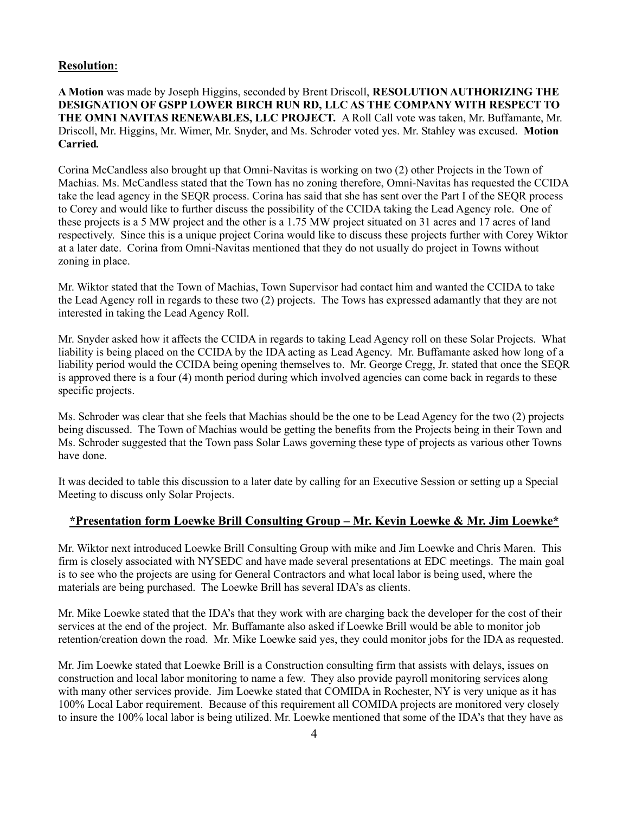#### **Resolution:**

**A Motion** was made by Joseph Higgins, seconded by Brent Driscoll, **RESOLUTION AUTHORIZING THE DESIGNATION OF GSPP LOWER BIRCH RUN RD, LLC AS THE COMPANY WITH RESPECT TO THE OMNI NAVITAS RENEWABLES, LLC PROJECT.** A Roll Call vote was taken, Mr. Buffamante, Mr. Driscoll, Mr. Higgins, Mr. Wimer, Mr. Snyder, and Ms. Schroder voted yes. Mr. Stahley was excused. **Motion Carried***.* 

Corina McCandless also brought up that Omni-Navitas is working on two (2) other Projects in the Town of Machias. Ms. McCandless stated that the Town has no zoning therefore, Omni-Navitas has requested the CCIDA take the lead agency in the SEQR process. Corina has said that she has sent over the Part I of the SEQR process to Corey and would like to further discuss the possibility of the CCIDA taking the Lead Agency role. One of these projects is a 5 MW project and the other is a 1.75 MW project situated on 31 acres and 17 acres of land respectively. Since this is a unique project Corina would like to discuss these projects further with Corey Wiktor at a later date. Corina from Omni-Navitas mentioned that they do not usually do project in Towns without zoning in place.

Mr. Wiktor stated that the Town of Machias, Town Supervisor had contact him and wanted the CCIDA to take the Lead Agency roll in regards to these two (2) projects. The Tows has expressed adamantly that they are not interested in taking the Lead Agency Roll.

Mr. Snyder asked how it affects the CCIDA in regards to taking Lead Agency roll on these Solar Projects. What liability is being placed on the CCIDA by the IDA acting as Lead Agency. Mr. Buffamante asked how long of a liability period would the CCIDA being opening themselves to. Mr. George Cregg, Jr. stated that once the SEQR is approved there is a four (4) month period during which involved agencies can come back in regards to these specific projects.

Ms. Schroder was clear that she feels that Machias should be the one to be Lead Agency for the two (2) projects being discussed. The Town of Machias would be getting the benefits from the Projects being in their Town and Ms. Schroder suggested that the Town pass Solar Laws governing these type of projects as various other Towns have done.

It was decided to table this discussion to a later date by calling for an Executive Session or setting up a Special Meeting to discuss only Solar Projects.

#### **\*Presentation form Loewke Brill Consulting Group – Mr. Kevin Loewke & Mr. Jim Loewke\***

Mr. Wiktor next introduced Loewke Brill Consulting Group with mike and Jim Loewke and Chris Maren. This firm is closely associated with NYSEDC and have made several presentations at EDC meetings. The main goal is to see who the projects are using for General Contractors and what local labor is being used, where the materials are being purchased. The Loewke Brill has several IDA's as clients.

Mr. Mike Loewke stated that the IDA's that they work with are charging back the developer for the cost of their services at the end of the project. Mr. Buffamante also asked if Loewke Brill would be able to monitor job retention/creation down the road. Mr. Mike Loewke said yes, they could monitor jobs for the IDA as requested.

Mr. Jim Loewke stated that Loewke Brill is a Construction consulting firm that assists with delays, issues on construction and local labor monitoring to name a few. They also provide payroll monitoring services along with many other services provide. Jim Loewke stated that COMIDA in Rochester, NY is very unique as it has 100% Local Labor requirement. Because of this requirement all COMIDA projects are monitored very closely to insure the 100% local labor is being utilized. Mr. Loewke mentioned that some of the IDA's that they have as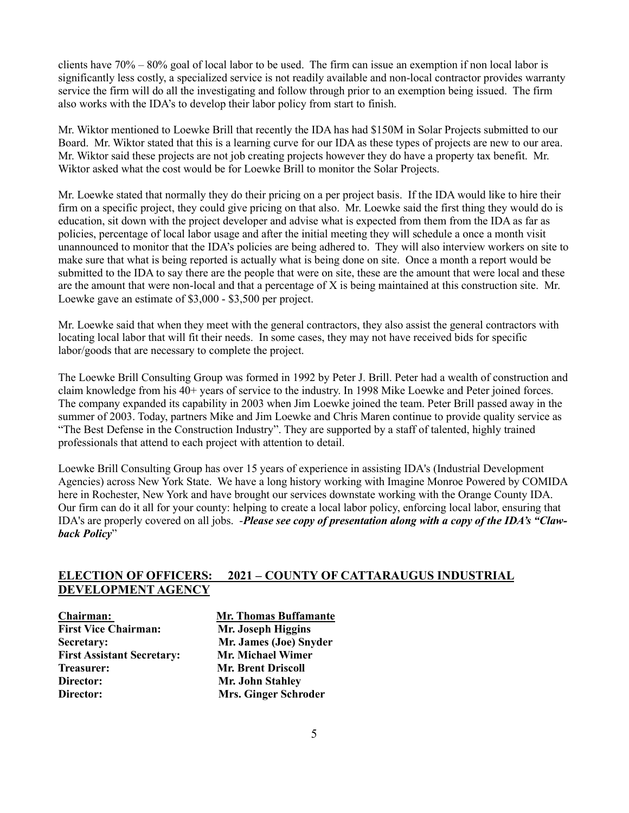clients have 70% – 80% goal of local labor to be used. The firm can issue an exemption if non local labor is significantly less costly, a specialized service is not readily available and non-local contractor provides warranty service the firm will do all the investigating and follow through prior to an exemption being issued. The firm also works with the IDA's to develop their labor policy from start to finish.

Mr. Wiktor mentioned to Loewke Brill that recently the IDA has had \$150M in Solar Projects submitted to our Board. Mr. Wiktor stated that this is a learning curve for our IDA as these types of projects are new to our area. Mr. Wiktor said these projects are not job creating projects however they do have a property tax benefit. Mr. Wiktor asked what the cost would be for Loewke Brill to monitor the Solar Projects.

Mr. Loewke stated that normally they do their pricing on a per project basis. If the IDA would like to hire their firm on a specific project, they could give pricing on that also. Mr. Loewke said the first thing they would do is education, sit down with the project developer and advise what is expected from them from the IDA as far as policies, percentage of local labor usage and after the initial meeting they will schedule a once a month visit unannounced to monitor that the IDA's policies are being adhered to. They will also interview workers on site to make sure that what is being reported is actually what is being done on site. Once a month a report would be submitted to the IDA to say there are the people that were on site, these are the amount that were local and these are the amount that were non-local and that a percentage of X is being maintained at this construction site. Mr. Loewke gave an estimate of \$3,000 - \$3,500 per project.

Mr. Loewke said that when they meet with the general contractors, they also assist the general contractors with locating local labor that will fit their needs. In some cases, they may not have received bids for specific labor/goods that are necessary to complete the project.

The Loewke Brill Consulting Group was formed in 1992 by Peter J. Brill. Peter had a wealth of construction and claim knowledge from his 40+ years of service to the industry. In 1998 Mike Loewke and Peter joined forces. The company expanded its capability in 2003 when Jim Loewke joined the team. Peter Brill passed away in the summer of 2003. Today, partners Mike and Jim Loewke and Chris Maren continue to provide quality service as "The Best Defense in the Construction Industry". They are supported by a staff of talented, highly trained professionals that attend to each project with attention to detail.

Loewke Brill Consulting Group has over 15 years of experience in assisting IDA's (Industrial Development Agencies) across New York State. We have a long history working with Imagine Monroe Powered by COMIDA here in Rochester, New York and have brought our services downstate working with the Orange County IDA. Our firm can do it all for your county: helping to create a local labor policy, enforcing local labor, ensuring that IDA's are properly covered on all jobs. -*Please see copy of presentation along with a copy of the IDA's "Clawback Policy*"

## **ELECTION OF OFFICERS: 2021 – COUNTY OF CATTARAUGUS INDUSTRIAL DEVELOPMENT AGENCY**

**First Vice Chairman: Mr. Joseph Higgins Secretary: Mr. James (Joe) Snyder First Assistant Secretary: Mr. Michael Wimer Treasurer: Mr. Brent Driscoll Director: Mr. John Stahley**

**Chairman: Mr. Thomas Buffamante Director: Mrs. Ginger Schroder**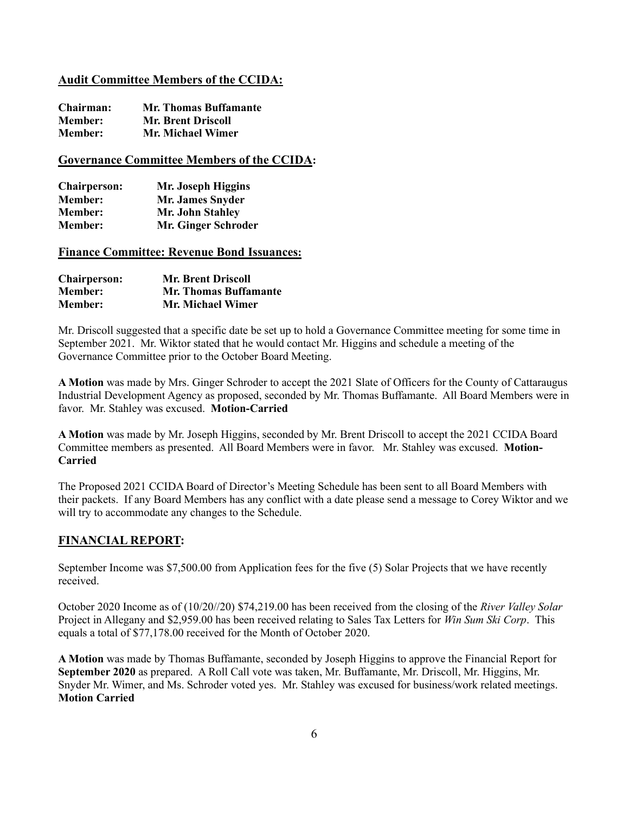#### **Audit Committee Members of the CCIDA:**

| Chairman:      | <b>Mr. Thomas Buffamante</b> |
|----------------|------------------------------|
| <b>Member:</b> | <b>Mr. Brent Driscoll</b>    |
| <b>Member:</b> | Mr. Michael Wimer            |

### **Governance Committee Members of the CCIDA:**

| <b>Chairperson:</b> | Mr. Joseph Higgins      |
|---------------------|-------------------------|
| <b>Member:</b>      | <b>Mr. James Snyder</b> |
| <b>Member:</b>      | Mr. John Stahley        |
| <b>Member:</b>      | Mr. Ginger Schroder     |

#### **Finance Committee: Revenue Bond Issuances:**

| <b>Chairperson:</b> | <b>Mr. Brent Driscoll</b>    |
|---------------------|------------------------------|
| <b>Member:</b>      | <b>Mr. Thomas Buffamante</b> |
| <b>Member:</b>      | Mr. Michael Wimer            |

Mr. Driscoll suggested that a specific date be set up to hold a Governance Committee meeting for some time in September 2021. Mr. Wiktor stated that he would contact Mr. Higgins and schedule a meeting of the Governance Committee prior to the October Board Meeting.

**A Motion** was made by Mrs. Ginger Schroder to accept the 2021 Slate of Officers for the County of Cattaraugus Industrial Development Agency as proposed, seconded by Mr. Thomas Buffamante. All Board Members were in favor. Mr. Stahley was excused. **Motion-Carried** 

**A Motion** was made by Mr. Joseph Higgins, seconded by Mr. Brent Driscoll to accept the 2021 CCIDA Board Committee members as presented. All Board Members were in favor. Mr. Stahley was excused. **Motion-Carried** 

The Proposed 2021 CCIDA Board of Director's Meeting Schedule has been sent to all Board Members with their packets. If any Board Members has any conflict with a date please send a message to Corey Wiktor and we will try to accommodate any changes to the Schedule.

## **FINANCIAL REPORT:**

September Income was \$7,500.00 from Application fees for the five (5) Solar Projects that we have recently received.

October 2020 Income as of (10/20//20) \$74,219.00 has been received from the closing of the *River Valley Solar* Project in Allegany and \$2,959.00 has been received relating to Sales Tax Letters for *Win Sum Ski Corp*. This equals a total of \$77,178.00 received for the Month of October 2020.

**A Motion** was made by Thomas Buffamante, seconded by Joseph Higgins to approve the Financial Report for **September 2020** as prepared. A Roll Call vote was taken, Mr. Buffamante, Mr. Driscoll, Mr. Higgins, Mr. Snyder Mr. Wimer, and Ms. Schroder voted yes. Mr. Stahley was excused for business/work related meetings. **Motion Carried**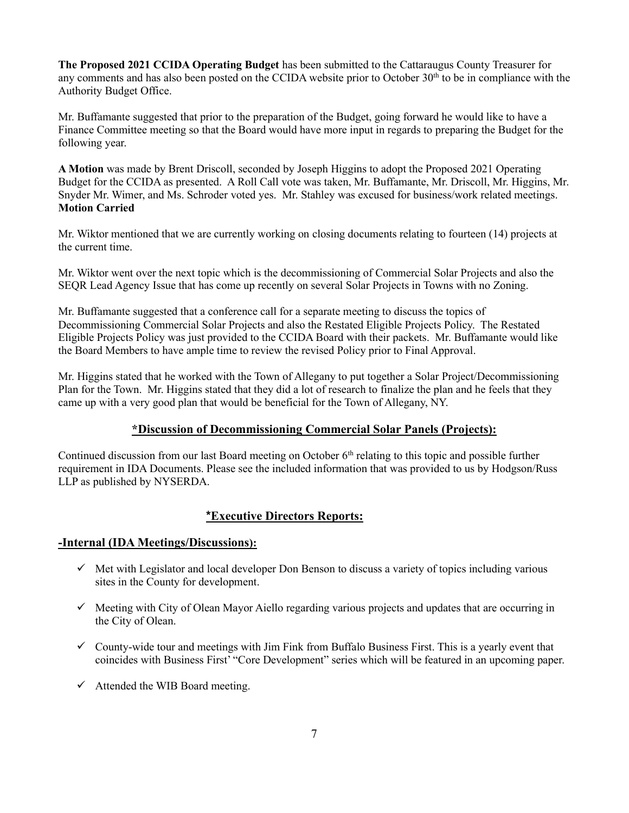**The Proposed 2021 CCIDA Operating Budget** has been submitted to the Cattaraugus County Treasurer for any comments and has also been posted on the CCIDA website prior to October 30th to be in compliance with the Authority Budget Office.

Mr. Buffamante suggested that prior to the preparation of the Budget, going forward he would like to have a Finance Committee meeting so that the Board would have more input in regards to preparing the Budget for the following year.

**A Motion** was made by Brent Driscoll, seconded by Joseph Higgins to adopt the Proposed 2021 Operating Budget for the CCIDA as presented. A Roll Call vote was taken, Mr. Buffamante, Mr. Driscoll, Mr. Higgins, Mr. Snyder Mr. Wimer, and Ms. Schroder voted yes. Mr. Stahley was excused for business/work related meetings. **Motion Carried**

Mr. Wiktor mentioned that we are currently working on closing documents relating to fourteen (14) projects at the current time.

Mr. Wiktor went over the next topic which is the decommissioning of Commercial Solar Projects and also the SEQR Lead Agency Issue that has come up recently on several Solar Projects in Towns with no Zoning.

Mr. Buffamante suggested that a conference call for a separate meeting to discuss the topics of Decommissioning Commercial Solar Projects and also the Restated Eligible Projects Policy. The Restated Eligible Projects Policy was just provided to the CCIDA Board with their packets. Mr. Buffamante would like the Board Members to have ample time to review the revised Policy prior to Final Approval.

Mr. Higgins stated that he worked with the Town of Allegany to put together a Solar Project/Decommissioning Plan for the Town. Mr. Higgins stated that they did a lot of research to finalize the plan and he feels that they came up with a very good plan that would be beneficial for the Town of Allegany, NY.

## **\*Discussion of Decommissioning Commercial Solar Panels (Projects):**

Continued discussion from our last Board meeting on October  $6<sup>th</sup>$  relating to this topic and possible further requirement in IDA Documents. Please see the included information that was provided to us by Hodgson/Russ LLP as published by NYSERDA.

## **\*Executive Directors Reports:**

#### **-Internal (IDA Meetings/Discussions):**

- $\checkmark$  Met with Legislator and local developer Don Benson to discuss a variety of topics including various sites in the County for development.
- $\checkmark$  Meeting with City of Olean Mayor Aiello regarding various projects and updates that are occurring in the City of Olean.
- $\checkmark$  County-wide tour and meetings with Jim Fink from Buffalo Business First. This is a yearly event that coincides with Business First' "Core Development" series which will be featured in an upcoming paper.
- $\checkmark$  Attended the WIB Board meeting.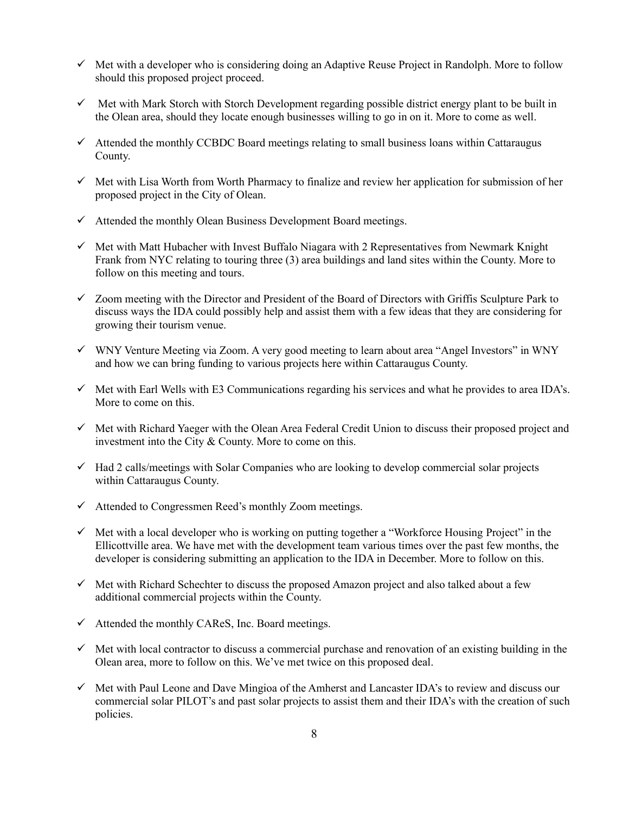- $\checkmark$  Met with a developer who is considering doing an Adaptive Reuse Project in Randolph. More to follow should this proposed project proceed.
- $\checkmark$  Met with Mark Storch with Storch Development regarding possible district energy plant to be built in the Olean area, should they locate enough businesses willing to go in on it. More to come as well.
- $\checkmark$  Attended the monthly CCBDC Board meetings relating to small business loans within Cattaraugus County.
- $\checkmark$  Met with Lisa Worth from Worth Pharmacy to finalize and review her application for submission of her proposed project in the City of Olean.
- $\checkmark$  Attended the monthly Olean Business Development Board meetings.
- $\checkmark$  Met with Matt Hubacher with Invest Buffalo Niagara with 2 Representatives from Newmark Knight Frank from NYC relating to touring three (3) area buildings and land sites within the County. More to follow on this meeting and tours.
- ✓ Zoom meeting with the Director and President of the Board of Directors with Griffis Sculpture Park to discuss ways the IDA could possibly help and assist them with a few ideas that they are considering for growing their tourism venue.
- ✓ WNY Venture Meeting via Zoom. A very good meeting to learn about area "Angel Investors" in WNY and how we can bring funding to various projects here within Cattaraugus County.
- $\checkmark$  Met with Earl Wells with E3 Communications regarding his services and what he provides to area IDA's. More to come on this.
- ✓ Met with Richard Yaeger with the Olean Area Federal Credit Union to discuss their proposed project and investment into the City & County. More to come on this.
- ✓ Had 2 calls/meetings with Solar Companies who are looking to develop commercial solar projects within Cattaraugus County.
- $\checkmark$  Attended to Congressmen Reed's monthly Zoom meetings.
- $\checkmark$  Met with a local developer who is working on putting together a "Workforce Housing Project" in the Ellicottville area. We have met with the development team various times over the past few months, the developer is considering submitting an application to the IDA in December. More to follow on this.
- $\checkmark$  Met with Richard Schechter to discuss the proposed Amazon project and also talked about a few additional commercial projects within the County.
- $\checkmark$  Attended the monthly CAReS, Inc. Board meetings.
- $\checkmark$  Met with local contractor to discuss a commercial purchase and renovation of an existing building in the Olean area, more to follow on this. We've met twice on this proposed deal.
- $\checkmark$  Met with Paul Leone and Dave Mingioa of the Amherst and Lancaster IDA's to review and discuss our commercial solar PILOT's and past solar projects to assist them and their IDA's with the creation of such policies.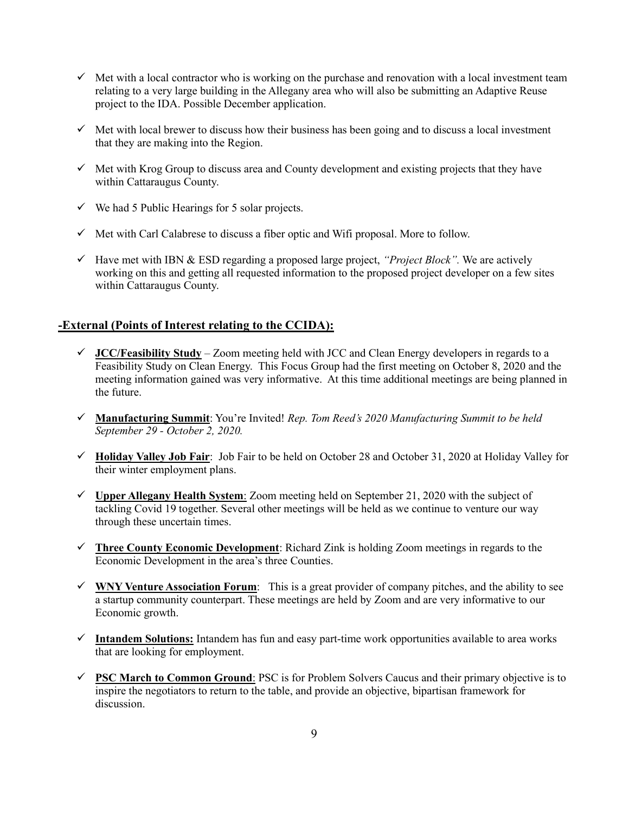- $\checkmark$  Met with a local contractor who is working on the purchase and renovation with a local investment team relating to a very large building in the Allegany area who will also be submitting an Adaptive Reuse project to the IDA. Possible December application.
- $\checkmark$  Met with local brewer to discuss how their business has been going and to discuss a local investment that they are making into the Region.
- $\checkmark$  Met with Krog Group to discuss area and County development and existing projects that they have within Cattaraugus County.
- $\checkmark$  We had 5 Public Hearings for 5 solar projects.
- $\checkmark$  Met with Carl Calabrese to discuss a fiber optic and Wifi proposal. More to follow.
- ✓ Have met with IBN & ESD regarding a proposed large project, *"Project Block".* We are actively working on this and getting all requested information to the proposed project developer on a few sites within Cattaraugus County.

#### **-External (Points of Interest relating to the CCIDA):**

- $\checkmark$  **JCC/Feasibility Study** Zoom meeting held with JCC and Clean Energy developers in regards to a Feasibility Study on Clean Energy. This Focus Group had the first meeting on October 8, 2020 and the meeting information gained was very informative. At this time additional meetings are being planned in the future.
- ✓ **Manufacturing Summit**: You're Invited! *Rep. Tom Reed's 2020 Manufacturing Summit to be held September 29 - October 2, 2020.*
- ✓ **Holiday Valley Job Fair**: Job Fair to be held on October 28 and October 31, 2020 at Holiday Valley for their winter employment plans.
- $\checkmark$  Upper Allegany Health System: Zoom meeting held on September 21, 2020 with the subject of tackling Covid 19 together. Several other meetings will be held as we continue to venture our way through these uncertain times.
- ✓ **Three County Economic Development**: Richard Zink is holding Zoom meetings in regards to the Economic Development in the area's three Counties.
- $\checkmark$  WNY Venture Association Forum: This is a great provider of company pitches, and the ability to see a startup community counterpart. These meetings are held by Zoom and are very informative to our Economic growth.
- ✓ **Intandem Solutions:** Intandem has fun and easy part-time work opportunities available to area works that are looking for employment.
- ✓ **PSC March to Common Ground**: PSC is for Problem Solvers Caucus and their primary objective is to inspire the negotiators to return to the table, and provide an objective, bipartisan framework for discussion.